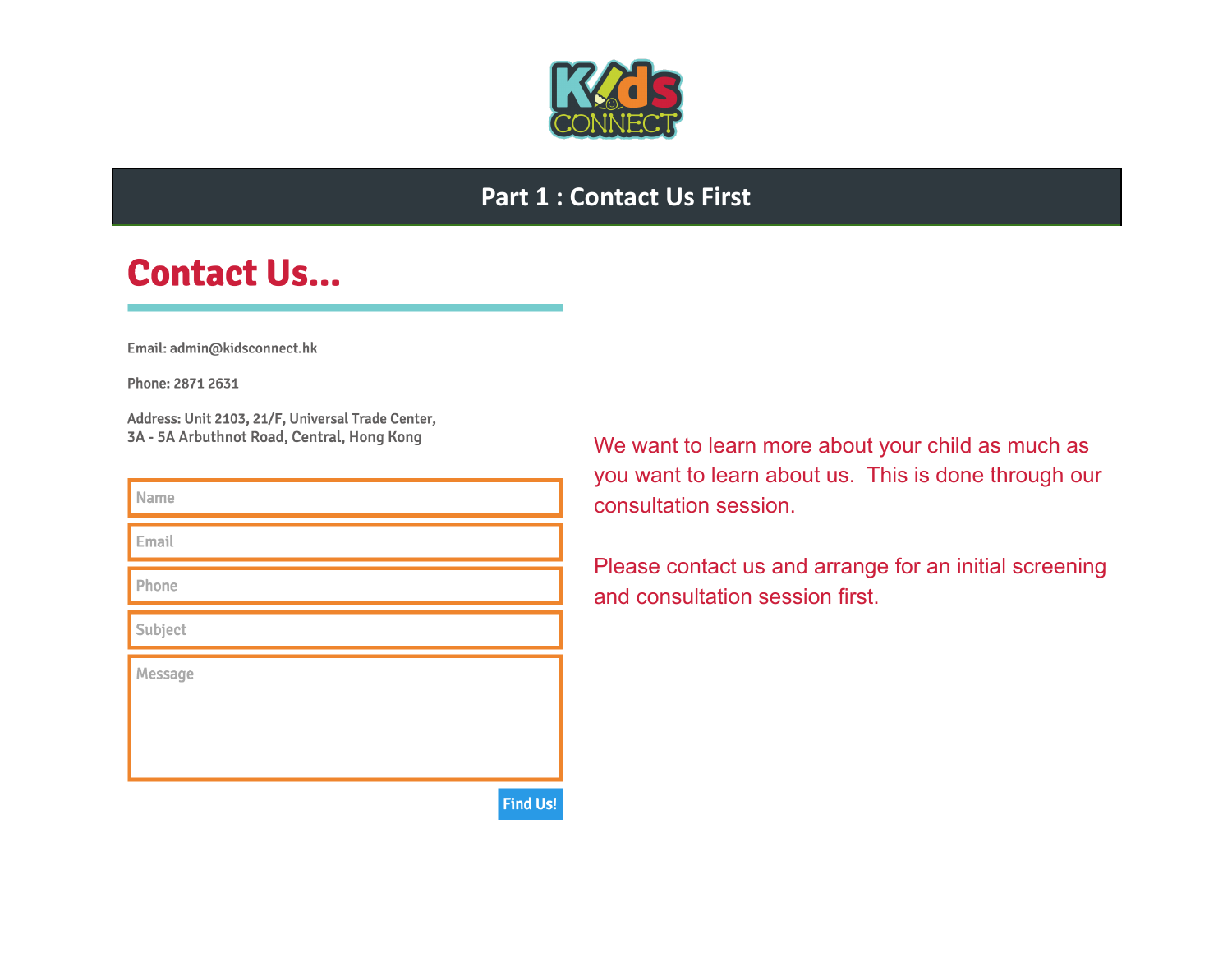

## **Part 1 : Contact Us First**

## **Contact Us...**

Email: admin@kidsconnect.hk

Phone: 2871 2631

Address: Unit 2103, 21/F, Universal Trade Center, 3A - 5A Arbuthnot Road, Central, Hong Kong

| Name    |
|---------|
| Email   |
| Phone   |
| Subject |
| Message |

We want to learn more about your child as much as you want to learn about us. This is done through our consultation session.

Please contact us and arrange for an initial screening and consultation session first.

**Find Us!**